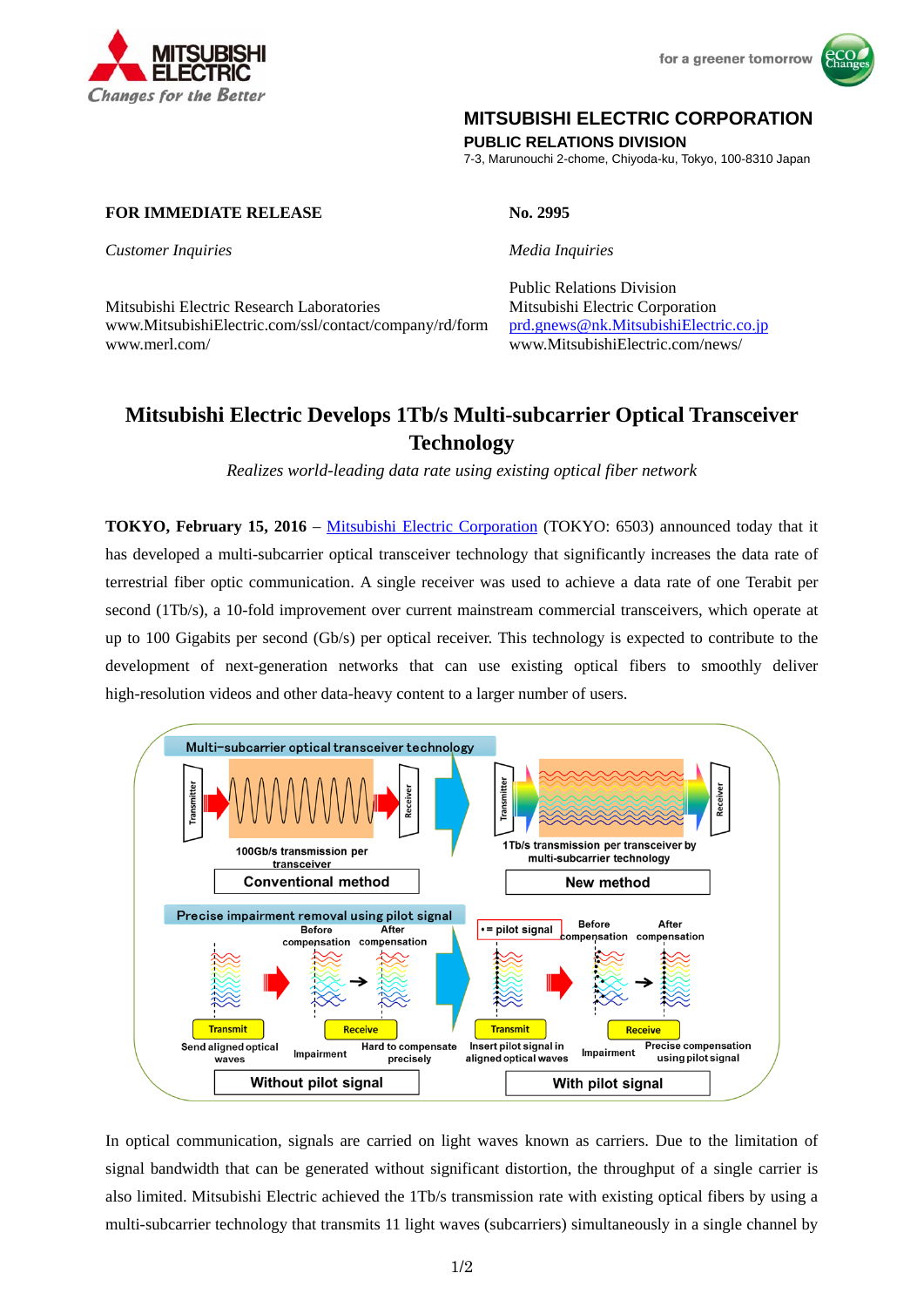



## **MITSUBISHI ELECTRIC CORPORATION**

**PUBLIC RELATIONS DIVISION** 

7-3, Marunouchi 2-chome, Chiyoda-ku, Tokyo, 100-8310 Japan

## **FOR IMMEDIATE RELEASE No. 2995**

*Customer Inquiries Media Inquiries*

Mitsubishi Electric Research Laboratories Mitsubishi Electric Corporation www.MitsubishiElectric.com/ssl/contact/company/rd/form prd.gnews@nk.MitsubishiElectric.co.jp www.merl.com/ www.MitsubishiElectric.com/news/

# Public Relations Division

## **Mitsubishi Electric Develops 1Tb/s Multi-subcarrier Optical Transceiver Technology**

*Realizes world-leading data rate using existing optical fiber network* 

**TOKYO, February 15, 2016** – Mitsubishi Electric Corporation (TOKYO: 6503) announced today that it has developed a multi-subcarrier optical transceiver technology that significantly increases the data rate of terrestrial fiber optic communication. A single receiver was used to achieve a data rate of one Terabit per second (1Tb/s), a 10-fold improvement over current mainstream commercial transceivers, which operate at up to 100 Gigabits per second (Gb/s) per optical receiver. This technology is expected to contribute to the development of next-generation networks that can use existing optical fibers to smoothly deliver high-resolution videos and other data-heavy content to a larger number of users.



In optical communication, signals are carried on light waves known as carriers. Due to the limitation of signal bandwidth that can be generated without significant distortion, the throughput of a single carrier is also limited. Mitsubishi Electric achieved the 1Tb/s transmission rate with existing optical fibers by using a multi-subcarrier technology that transmits 11 light waves (subcarriers) simultaneously in a single channel by